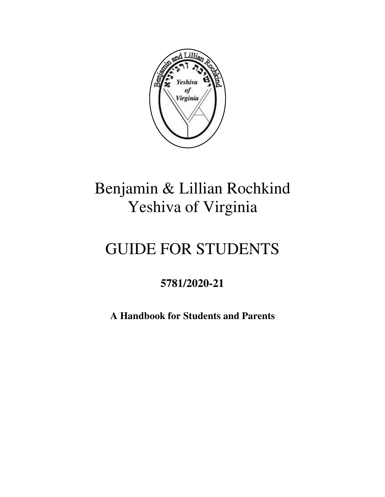

# Benjamin & Lillian Rochkind Yeshiva of Virginia

# GUIDE FOR STUDENTS

# **5781/2020-21**

**A Handbook for Students and Parents**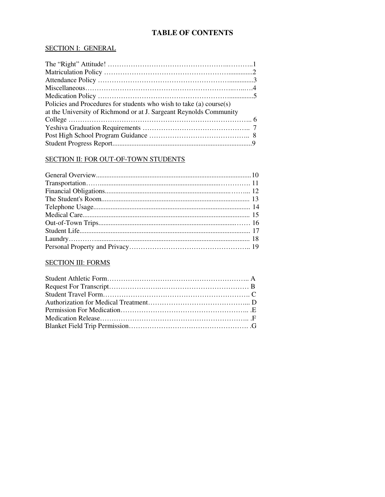# **TABLE OF CONTENTS**

#### SECTION I: GENERAL

#### SECTION II: FOR OUT-OF-TOWN STUDENTS

#### SECTION III: FORMS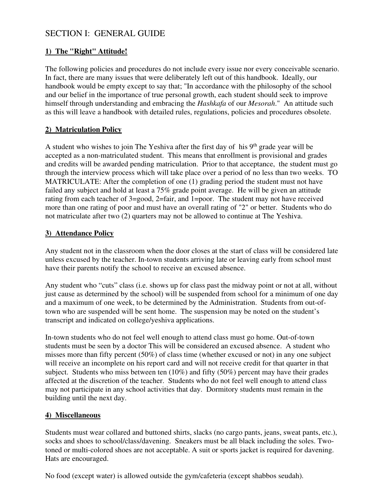# SECTION I: GENERAL GUIDE

# **1) The "Right" Attitude!**

The following policies and procedures do not include every issue nor every conceivable scenario. In fact, there are many issues that were deliberately left out of this handbook. Ideally, our handbook would be empty except to say that; "In accordance with the philosophy of the school and our belief in the importance of true personal growth, each student should seek to improve himself through understanding and embracing the *Hashkafa* of our *Mesorah*." An attitude such as this will leave a handbook with detailed rules, regulations, policies and procedures obsolete.

# **2) Matriculation Policy**

A student who wishes to join The Yeshiva after the first day of his  $9<sup>th</sup>$  grade year will be accepted as a non-matriculated student. This means that enrollment is provisional and grades and credits will be awarded pending matriculation. Prior to that acceptance, the student must go through the interview process which will take place over a period of no less than two weeks. TO MATRICULATE: After the completion of one (1) grading period the student must not have failed any subject and hold at least a 75% grade point average. He will be given an attitude rating from each teacher of 3=good, 2=fair, and 1=poor. The student may not have received more than one rating of poor and must have an overall rating of "2" or better. Students who do not matriculate after two (2) quarters may not be allowed to continue at The Yeshiva.

# **3) Attendance Policy**

Any student not in the classroom when the door closes at the start of class will be considered late unless excused by the teacher. In-town students arriving late or leaving early from school must have their parents notify the school to receive an excused absence.

Any student who "cuts" class (i.e. shows up for class past the midway point or not at all, without just cause as determined by the school) will be suspended from school for a minimum of one day and a maximum of one week, to be determined by the Administration. Students from out-oftown who are suspended will be sent home. The suspension may be noted on the student's transcript and indicated on college/yeshiva applications.

In-town students who do not feel well enough to attend class must go home. Out-of-town students must be seen by a doctor This will be considered an excused absence. A student who misses more than fifty percent (50%) of class time (whether excused or not) in any one subject will receive an incomplete on his report card and will not receive credit for that quarter in that subject. Students who miss between ten (10%) and fifty (50%) percent may have their grades affected at the discretion of the teacher. Students who do not feel well enough to attend class may not participate in any school activities that day. Dormitory students must remain in the building until the next day.

# **4) Miscellaneous**

Students must wear collared and buttoned shirts, slacks (no cargo pants, jeans, sweat pants, etc.), socks and shoes to school/class/davening. Sneakers must be all black including the soles. Twotoned or multi-colored shoes are not acceptable. A suit or sports jacket is required for davening. Hats are encouraged.

No food (except water) is allowed outside the gym/cafeteria (except shabbos seudah).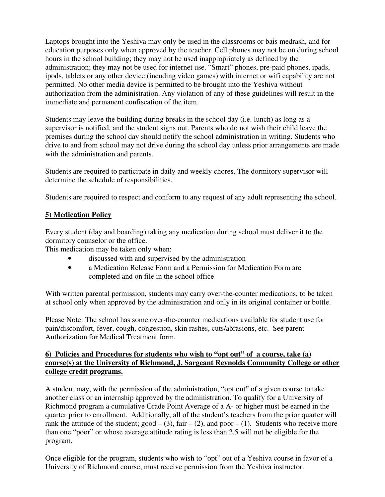Laptops brought into the Yeshiva may only be used in the classrooms or bais medrash, and for education purposes only when approved by the teacher. Cell phones may not be on during school hours in the school building; they may not be used inappropriately as defined by the administration; they may not be used for internet use. "Smart" phones, pre-paid phones, ipads, ipods, tablets or any other device (incuding video games) with internet or wifi capability are not permitted. No other media device is permitted to be brought into the Yeshiva without authorization from the administration. Any violation of any of these guidelines will result in the immediate and permanent confiscation of the item.

Students may leave the building during breaks in the school day (i.e. lunch) as long as a supervisor is notified, and the student signs out. Parents who do not wish their child leave the premises during the school day should notify the school administration in writing. Students who drive to and from school may not drive during the school day unless prior arrangements are made with the administration and parents.

Students are required to participate in daily and weekly chores. The dormitory supervisor will determine the schedule of responsibilities.

Students are required to respect and conform to any request of any adult representing the school.

# **5) Medication Policy**

Every student (day and boarding) taking any medication during school must deliver it to the dormitory counselor or the office.

This medication may be taken only when:

- discussed with and supervised by the administration
- a Medication Release Form and a Permission for Medication Form are completed and on file in the school office

With written parental permission, students may carry over-the-counter medications, to be taken at school only when approved by the administration and only in its original container or bottle.

Please Note: The school has some over-the-counter medications available for student use for pain/discomfort, fever, cough, congestion, skin rashes, cuts/abrasions, etc. See parent Authorization for Medical Treatment form.

# **6) Policies and Procedures for students who wish to "opt out" of a course, take (a) course(s) at the University of Richmond, J. Sargeant Reynolds Community College or other college credit programs.**

A student may, with the permission of the administration, "opt out" of a given course to take another class or an internship approved by the administration. To qualify for a University of Richmond program a cumulative Grade Point Average of a A- or higher must be earned in the quarter prior to enrollment. Additionally, all of the student's teachers from the prior quarter will rank the attitude of the student;  $good - (3)$ ,  $fair - (2)$ , and  $poor - (1)$ . Students who receive more than one "poor" or whose average attitude rating is less than 2.5 will not be eligible for the program.

Once eligible for the program, students who wish to "opt" out of a Yeshiva course in favor of a University of Richmond course, must receive permission from the Yeshiva instructor.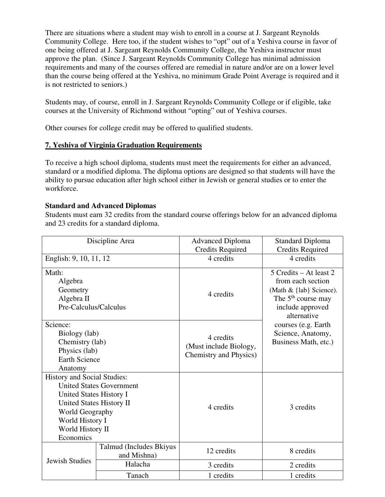There are situations where a student may wish to enroll in a course at J. Sargeant Reynolds Community College. Here too, if the student wishes to "opt" out of a Yeshiva course in favor of one being offered at J. Sargeant Reynolds Community College, the Yeshiva instructor must approve the plan. (Since J. Sargeant Reynolds Community College has minimal admission requirements and many of the courses offered are remedial in nature and/or are on a lower level than the course being offered at the Yeshiva, no minimum Grade Point Average is required and it is not restricted to seniors.)

Students may, of course, enroll in J. Sargeant Reynolds Community College or if eligible, take courses at the University of Richmond without "opting" out of Yeshiva courses.

Other courses for college credit may be offered to qualified students.

# **7. Yeshiva of Virginia Graduation Requirements**

To receive a high school diploma, students must meet the requirements for either an advanced, standard or a modified diploma. The diploma options are designed so that students will have the ability to pursue education after high school either in Jewish or general studies or to enter the workforce.

# **Standard and Advanced Diplomas**

Students must earn 32 credits from the standard course offerings below for an advanced diploma and 23 credits for a standard diploma.

| Discipline Area                                                                                                                                                  |                                        | <b>Advanced Diploma</b><br><b>Credits Required</b>                                                                                                       | <b>Standard Diploma</b><br><b>Credits Required</b>               |  |
|------------------------------------------------------------------------------------------------------------------------------------------------------------------|----------------------------------------|----------------------------------------------------------------------------------------------------------------------------------------------------------|------------------------------------------------------------------|--|
| English: 9, 10, 11, 12                                                                                                                                           |                                        | 4 credits                                                                                                                                                | 4 credits                                                        |  |
| Math:<br>Algebra<br>Geometry<br>Algebra II<br>Pre-Calculus/Calculus                                                                                              |                                        | 5 Credits – At least 2<br>from each section<br>(Math & {lab} Science).<br>4 credits<br>The 5 <sup>th</sup> course may<br>include approved<br>alternative |                                                                  |  |
| Science:<br>Biology (lab)<br>Chemistry (lab)<br>Physics (lab)<br><b>Earth Science</b><br>Anatomy                                                                 |                                        | 4 credits<br>(Must include Biology,<br>Chemistry and Physics)                                                                                            | courses (e.g. Earth<br>Science, Anatomy,<br>Business Math, etc.) |  |
| <b>History and Social Studies:</b><br>United States History I<br>United States History II<br>World Geography<br>World History I<br>World History II<br>Economics | <b>United States Government</b>        | 4 credits                                                                                                                                                | 3 credits                                                        |  |
|                                                                                                                                                                  | Talmud (Includes Bkiyus<br>and Mishna) | 12 credits                                                                                                                                               | 8 credits                                                        |  |
| <b>Jewish Studies</b>                                                                                                                                            | Halacha                                | 3 credits                                                                                                                                                | 2 credits                                                        |  |
|                                                                                                                                                                  | Tanach                                 | 1 credits                                                                                                                                                | 1 credits                                                        |  |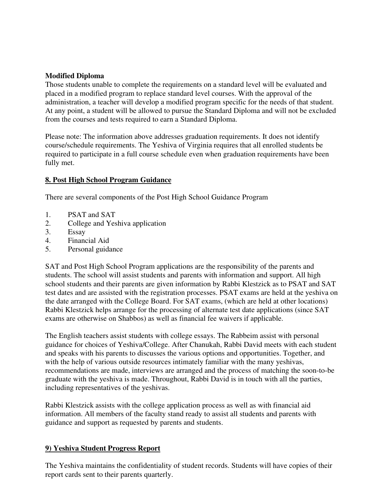# **Modified Diploma**

Those students unable to complete the requirements on a standard level will be evaluated and placed in a modified program to replace standard level courses. With the approval of the administration, a teacher will develop a modified program specific for the needs of that student. At any point, a student will be allowed to pursue the Standard Diploma and will not be excluded from the courses and tests required to earn a Standard Diploma.

Please note: The information above addresses graduation requirements. It does not identify course/schedule requirements. The Yeshiva of Virginia requires that all enrolled students be required to participate in a full course schedule even when graduation requirements have been fully met.

# **8. Post High School Program Guidance**

There are several components of the Post High School Guidance Program

- 1. PSAT and SAT
- 2. College and Yeshiva application
- 3. Essay
- 4. Financial Aid
- 5. Personal guidance

SAT and Post High School Program applications are the responsibility of the parents and students. The school will assist students and parents with information and support. All high school students and their parents are given information by Rabbi Klestzick as to PSAT and SAT test dates and are assisted with the registration processes. PSAT exams are held at the yeshiva on the date arranged with the College Board. For SAT exams, (which are held at other locations) Rabbi Klestzick helps arrange for the processing of alternate test date applications (since SAT exams are otherwise on Shabbos) as well as financial fee waivers if applicable.

The English teachers assist students with college essays. The Rabbeim assist with personal guidance for choices of Yeshiva/College. After Chanukah, Rabbi David meets with each student and speaks with his parents to discusses the various options and opportunities. Together, and with the help of various outside resources intimately familiar with the many yeshivas, recommendations are made, interviews are arranged and the process of matching the soon-to-be graduate with the yeshiva is made. Throughout, Rabbi David is in touch with all the parties, including representatives of the yeshivas.

Rabbi Klestzick assists with the college application process as well as with financial aid information. All members of the faculty stand ready to assist all students and parents with guidance and support as requested by parents and students.

#### **9) Yeshiva Student Progress Report**

The Yeshiva maintains the confidentiality of student records. Students will have copies of their report cards sent to their parents quarterly.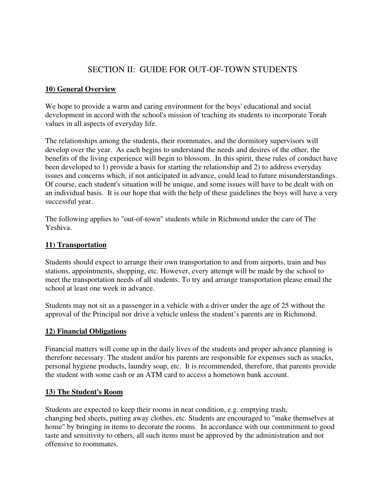# SECTION II: GUIDE FOR OUT-OF-TOWN STUDENTS

#### **10) General Overview**

We hope to provide a warm and caring environment for the boys' educational and social development in accord with the school's mission of teaching its students to incorporate Torah values in all aspects of everyday life.

The relationships among the students, their roommates, and the dormitory supervisors will develop over the year. As each begins to understand the needs and desires of the other, the benefits of the living experience will begin to blossom. In this spirit, these rules of conduct have been developed to 1) provide a basis for starting the relationship and 2) to address everyday issues and concerns which, if not anticipated in advance, could lead to future misunderstandings. Of course, each student's situation will be unique, and some issues will have to be dealt with on an individual basis. It is our hope that with the help of these guidelines the boys will have a very successful year.

The following applies to "out-of-town" students while in Richmond under the care of The Yeshiva.

#### **11) Transportation**

Students should expect to arrange their own transportation to and from airports, train and bus stations, appointments, shopping, etc. However, every attempt will be made by the school to meet the transportation needs of all students. To try and arrange transportation please email the school at least one week in advance.

Students may not sit as a passenger in a vehicle with a driver under the age of 25 without the approval of the Principal nor drive a vehicle unless the student's parents are in Richmond.

#### **12) Financial Obligations**

Financial matters will come up in the daily lives of the students and proper advance planning is therefore necessary. The student and/or his parents are responsible for expenses such as snacks, personal hygiene products, laundry soap, etc. It is recommended, therefore, that parents provide the student with some cash or an ATM card to access a hometown bank account.

#### **13) The Student's Room**

Students are expected to keep their rooms in neat condition, e.g. emptying trash, changing bed sheets, putting away clothes, etc. Students are encouraged to "make themselves at home" by bringing in items to decorate the rooms. In accordance with our commitment to good taste and sensitivity to others, all such items must be approved by the administration and not offensive to roommates.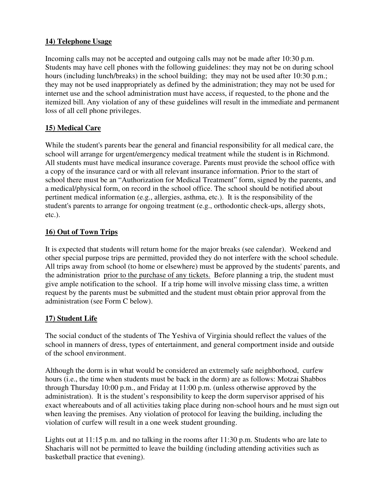# **14) Telephone Usage**

Incoming calls may not be accepted and outgoing calls may not be made after 10:30 p.m. Students may have cell phones with the following guidelines: they may not be on during school hours (including lunch/breaks) in the school building; they may not be used after 10:30 p.m.; they may not be used inappropriately as defined by the administration; they may not be used for internet use and the school administration must have access, if requested, to the phone and the itemized bill. Any violation of any of these guidelines will result in the immediate and permanent loss of all cell phone privileges.

# **15) Medical Care**

While the student's parents bear the general and financial responsibility for all medical care, the school will arrange for urgent/emergency medical treatment while the student is in Richmond. All students must have medical insurance coverage. Parents must provide the school office with a copy of the insurance card or with all relevant insurance information. Prior to the start of school there must be an "Authorization for Medical Treatment" form, signed by the parents, and a medical/physical form, on record in the school office. The school should be notified about pertinent medical information (e.g., allergies, asthma, etc.). It is the responsibility of the student's parents to arrange for ongoing treatment (e.g., orthodontic check-ups, allergy shots, etc.).

# **16) Out of Town Trips**

It is expected that students will return home for the major breaks (see calendar). Weekend and other special purpose trips are permitted, provided they do not interfere with the school schedule. All trips away from school (to home or elsewhere) must be approved by the students' parents, and the administration prior to the purchase of any tickets. Before planning a trip, the student must give ample notification to the school. If a trip home will involve missing class time, a written request by the parents must be submitted and the student must obtain prior approval from the administration (see Form C below).

# **17) Student Life**

The social conduct of the students of The Yeshiva of Virginia should reflect the values of the school in manners of dress, types of entertainment, and general comportment inside and outside of the school environment.

Although the dorm is in what would be considered an extremely safe neighborhood, curfew hours (i.e., the time when students must be back in the dorm) are as follows: Motzai Shabbos through Thursday 10:00 p.m., and Friday at 11:00 p.m. (unless otherwise approved by the administration). It is the student's responsibility to keep the dorm supervisor apprised of his exact whereabouts and of all activities taking place during non-school hours and he must sign out when leaving the premises. Any violation of protocol for leaving the building, including the violation of curfew will result in a one week student grounding.

Lights out at 11:15 p.m. and no talking in the rooms after 11:30 p.m. Students who are late to Shacharis will not be permitted to leave the building (including attending activities such as basketball practice that evening).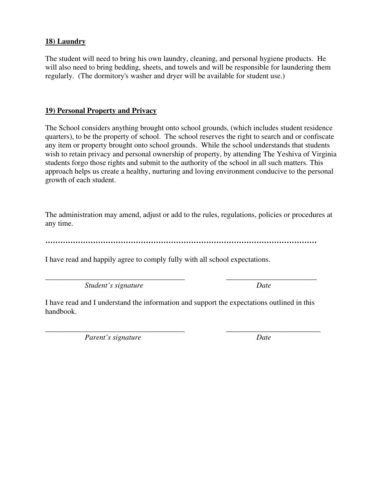# **18) Laundry**

The student will need to bring his own laundry, cleaning, and personal hygiene products. He will also need to bring bedding, sheets, and towels and will be responsible for laundering them regularly. (The dormitory's washer and dryer will be available for student use.)

# **19) Personal Property and Privacy**

The School considers anything brought onto school grounds, (which includes student residence quarters), to be the property of school. The school reserves the right to search and or confiscate any item or property brought onto school grounds. While the school understands that students wish to retain privacy and personal ownership of property, by attending The Yeshiva of Virginia students forgo those rights and submit to the authority of the school in all such matters. This approach helps us create a healthy, nurturing and loving environment conducive to the personal growth of each student.

The administration may amend, adjust or add to the rules, regulations, policies or procedures at any time.

**………………………………………………………………………………………………**

I have read and happily agree to comply fully with all school expectations.

*Student's signature Date*

I have read and I understand the information and support the expectations outlined in this handbook.

\_\_\_\_\_\_\_\_\_\_\_\_\_\_\_\_\_\_\_\_\_\_\_\_\_\_\_\_\_\_\_\_\_\_\_\_\_ \_\_\_\_\_\_\_\_\_\_\_\_\_\_\_\_\_\_\_\_\_\_\_\_

\_\_\_\_\_\_\_\_\_\_\_\_\_\_\_\_\_\_\_\_\_\_\_\_\_\_\_\_\_\_\_\_\_\_\_\_\_ \_\_\_\_\_\_\_\_\_\_\_\_\_\_\_\_\_\_\_\_\_\_\_\_\_ *Parent's signature Date*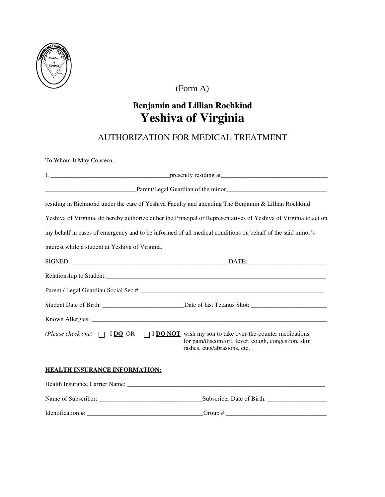

(Form A)

# **Benjamin and Lillian Rochkind Yeshiva of Virginia**

# AUTHORIZATION FOR MEDICAL TREATMENT

To Whom It May Concern,

|                                                  | residing in Richmond under the care of Yeshiva Faculty and attending The Benjamin & Lillian Rochkind                                                                                    |  |  |
|--------------------------------------------------|-----------------------------------------------------------------------------------------------------------------------------------------------------------------------------------------|--|--|
|                                                  | Yeshiva of Virginia, do hereby authorize either the Principal or Representatives of Yeshiva of Virginia to act on                                                                       |  |  |
|                                                  | my behalf in cases of emergency and to be informed of all medical conditions on behalf of the said minor's                                                                              |  |  |
| interest while a student at Yeshiva of Virginia. |                                                                                                                                                                                         |  |  |
|                                                  |                                                                                                                                                                                         |  |  |
|                                                  |                                                                                                                                                                                         |  |  |
|                                                  |                                                                                                                                                                                         |  |  |
|                                                  |                                                                                                                                                                                         |  |  |
|                                                  |                                                                                                                                                                                         |  |  |
|                                                  | (Please check one) $\Box$ IDO OR $\Box$ IDO NOT wish my son to take over-the-counter medications<br>for pain/discomfort, fever, cough, congestion, skin<br>rashes, cuts/abrasions, etc. |  |  |
| HEALTH INSURANCE INFORMATION:                    |                                                                                                                                                                                         |  |  |
|                                                  |                                                                                                                                                                                         |  |  |
|                                                  | Name of Subscriber: Subscriber Date of Birth:                                                                                                                                           |  |  |

Identification #: \_\_\_\_\_\_\_\_\_\_\_\_\_\_\_\_\_\_\_\_\_\_\_\_\_\_\_\_\_\_\_\_\_\_\_\_\_Group #:\_\_\_\_\_\_\_\_\_\_\_\_\_\_\_\_\_\_\_\_\_\_\_\_\_\_\_\_\_\_\_\_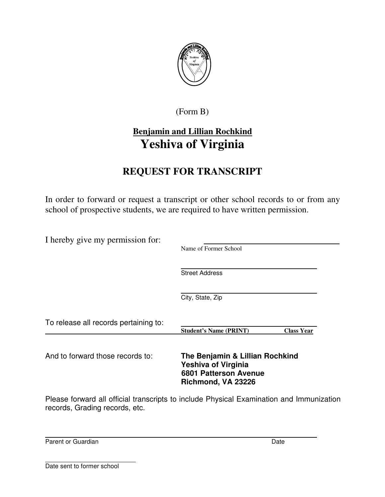

(Form B)

# **Benjamin and Lillian Rochkind Yeshiva of Virginia**

# **REQUEST FOR TRANSCRIPT**

In order to forward or request a transcript or other school records to or from any school of prospective students, we are required to have written permission.

| I hereby give my permission for:      | Name of Former School                                                                                               |                   |
|---------------------------------------|---------------------------------------------------------------------------------------------------------------------|-------------------|
|                                       | <b>Street Address</b>                                                                                               |                   |
|                                       | City, State, Zip                                                                                                    |                   |
| To release all records pertaining to: | <b>Student's Name (PRINT)</b>                                                                                       | <b>Class Year</b> |
| And to forward those records to:      | The Benjamin & Lillian Rochkind<br><b>Yeshiva of Virginia</b><br><b>6801 Patterson Avenue</b><br>Richmond, VA 23226 |                   |

Please forward all official transcripts to include Physical Examination and Immunization records, Grading records, etc.

Parent or Guardian Date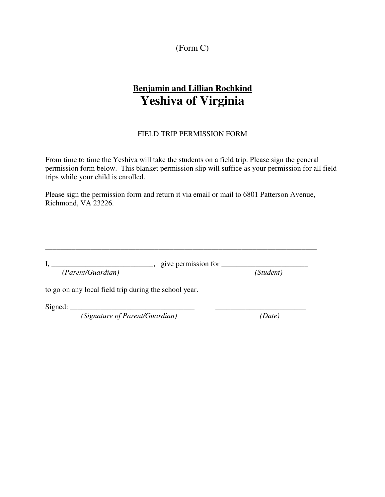(Form C)

# **Benjamin and Lillian Rochkind Yeshiva of Virginia**

#### FIELD TRIP PERMISSION FORM

From time to time the Yeshiva will take the students on a field trip. Please sign the general permission form below. This blanket permission slip will suffice as your permission for all field trips while your child is enrolled.

Please sign the permission form and return it via email or mail to 6801 Patterson Avenue, Richmond, VA 23226.

|                   | give permission for |           |
|-------------------|---------------------|-----------|
| (Parent/Guardian) |                     | (Student) |

\_\_\_\_\_\_\_\_\_\_\_\_\_\_\_\_\_\_\_\_\_\_\_\_\_\_\_\_\_\_\_\_\_\_\_\_\_\_\_\_\_\_\_\_\_\_\_\_\_\_\_\_\_\_\_\_\_\_\_\_\_\_\_\_\_\_\_\_\_\_\_\_

to go on any local field trip during the school year.

 $Signed:$ 

*(Signature of Parent/Guardian) (Date)*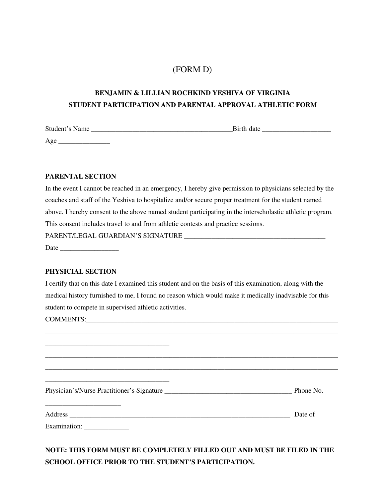# (FORM D)

# **BENJAMIN & LILLIAN ROCHKIND YESHIVA OF VIRGINIA STUDENT PARTICIPATION AND PARENTAL APPROVAL ATHLETIC FORM**

| Student's Name | Birth date |
|----------------|------------|
| Age            |            |

#### **PARENTAL SECTION**

| In the event I cannot be reached in an emergency, I hereby give permission to physicians selected by the  |
|-----------------------------------------------------------------------------------------------------------|
| coaches and staff of the Yeshiva to hospitalize and/or secure proper treatment for the student named      |
| above. I hereby consent to the above named student participating in the interscholastic athletic program. |
| This consent includes travel to and from athletic contests and practice sessions.                         |
|                                                                                                           |
|                                                                                                           |

#### **PHYSICIAL SECTION**

I certify that on this date I examined this student and on the basis of this examination, along with the medical history furnished to me, I found no reason which would make it medically inadvisable for this student to compete in supervised athletic activities.

COMMENTS:\_\_\_\_\_\_\_\_\_\_\_\_\_\_\_\_\_\_\_\_\_\_\_\_\_\_\_\_\_\_\_\_\_\_\_\_\_\_\_\_\_\_\_\_\_\_\_\_\_\_\_\_\_\_\_\_\_\_\_\_\_\_\_\_\_\_\_\_\_\_\_\_\_

|                                         | Phone No. |
|-----------------------------------------|-----------|
| Address<br>Examination: _______________ | Date of   |

\_\_\_\_\_\_\_\_\_\_\_\_\_\_\_\_\_\_\_\_\_\_\_\_\_\_\_\_\_\_\_\_\_\_\_\_\_\_\_\_\_\_\_\_\_\_\_\_\_\_\_\_\_\_\_\_\_\_\_\_\_\_\_\_\_\_\_\_\_\_\_\_\_\_\_\_\_\_\_\_\_\_\_\_\_

**NOTE: THIS FORM MUST BE COMPLETELY FILLED OUT AND MUST BE FILED IN THE SCHOOL OFFICE PRIOR TO THE STUDENT'S PARTICIPATION.**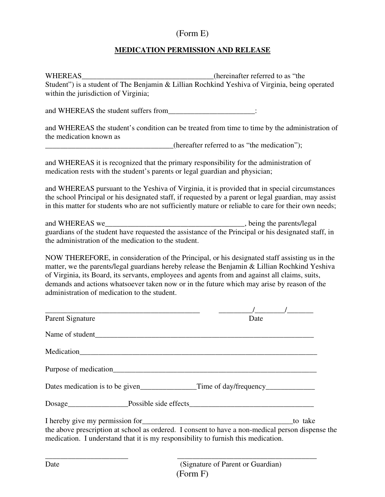# (Form E)

# **MEDICATION PERMISSION AND RELEASE**

WHEREAS\_\_\_\_\_\_\_\_\_\_\_\_\_\_\_\_\_\_\_\_\_\_\_\_\_\_\_\_\_\_\_\_\_(hereinafter referred to as "the Student") is a student of The Benjamin & Lillian Rochkind Yeshiva of Virginia, being operated within the jurisdiction of Virginia;

and WHEREAS the student suffers from  $\Box$ 

and WHEREAS the student's condition can be treated from time to time by the administration of the medication known as

 $(hereafter referred to as "the medication");$ 

and WHEREAS it is recognized that the primary responsibility for the administration of medication rests with the student's parents or legal guardian and physician;

and WHEREAS pursuant to the Yeshiva of Virginia, it is provided that in special circumstances the school Principal or his designated staff, if requested by a parent or legal guardian, may assist in this matter for students who are not sufficiently mature or reliable to care for their own needs;

and WHEREAS we\_\_\_\_\_\_\_\_\_\_\_\_\_\_\_\_\_\_\_\_\_\_\_\_\_\_\_\_\_\_\_\_\_\_\_\_\_, being the parents/legal guardians of the student have requested the assistance of the Principal or his designated staff, in the administration of the medication to the student.

NOW THEREFORE, in consideration of the Principal, or his designated staff assisting us in the matter, we the parents/legal guardians hereby release the Benjamin & Lillian Rochkind Yeshiva of Virginia, its Board, its servants, employees and agents from and against all claims, suits, demands and actions whatsoever taken now or in the future which may arise by reason of the administration of medication to the student.

| Parent Signature                                                                                                                                                                      | Date    |
|---------------------------------------------------------------------------------------------------------------------------------------------------------------------------------------|---------|
|                                                                                                                                                                                       |         |
|                                                                                                                                                                                       |         |
|                                                                                                                                                                                       |         |
|                                                                                                                                                                                       |         |
|                                                                                                                                                                                       |         |
|                                                                                                                                                                                       | to take |
| the above prescription at school as ordered. I consent to have a non-medical person dispense the<br>medication. I understand that it is my responsibility to furnish this medication. |         |